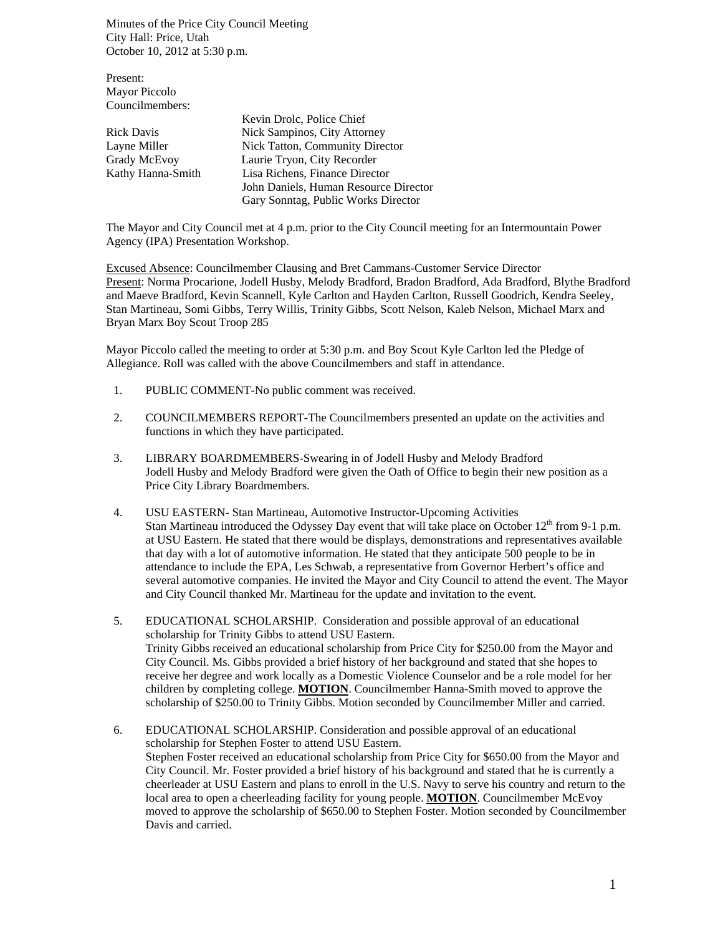Minutes of the Price City Council Meeting City Hall: Price, Utah October 10, 2012 at 5:30 p.m.

Present: Mayor Piccolo Councilmembers:

| Kevin Drolc, Police Chief             |
|---------------------------------------|
| Nick Sampinos, City Attorney          |
| Nick Tatton, Community Director       |
| Laurie Tryon, City Recorder           |
| Lisa Richens, Finance Director        |
| John Daniels, Human Resource Director |
| Gary Sonntag, Public Works Director   |
|                                       |

The Mayor and City Council met at 4 p.m. prior to the City Council meeting for an Intermountain Power Agency (IPA) Presentation Workshop.

Excused Absence: Councilmember Clausing and Bret Cammans-Customer Service Director Present: Norma Procarione, Jodell Husby, Melody Bradford, Bradon Bradford, Ada Bradford, Blythe Bradford and Maeve Bradford, Kevin Scannell, Kyle Carlton and Hayden Carlton, Russell Goodrich, Kendra Seeley, Stan Martineau, Somi Gibbs, Terry Willis, Trinity Gibbs, Scott Nelson, Kaleb Nelson, Michael Marx and Bryan Marx Boy Scout Troop 285

Mayor Piccolo called the meeting to order at 5:30 p.m. and Boy Scout Kyle Carlton led the Pledge of Allegiance. Roll was called with the above Councilmembers and staff in attendance.

- 1. PUBLIC COMMENT-No public comment was received.
- 2. COUNCILMEMBERS REPORT-The Councilmembers presented an update on the activities and functions in which they have participated.
- 3. LIBRARY BOARDMEMBERS-Swearing in of Jodell Husby and Melody Bradford Jodell Husby and Melody Bradford were given the Oath of Office to begin their new position as a Price City Library Boardmembers.
- 4. USU EASTERN- Stan Martineau, Automotive Instructor-Upcoming Activities Stan Martineau introduced the Odyssey Day event that will take place on October  $12<sup>th</sup>$  from 9-1 p.m. at USU Eastern. He stated that there would be displays, demonstrations and representatives available that day with a lot of automotive information. He stated that they anticipate 500 people to be in attendance to include the EPA, Les Schwab, a representative from Governor Herbert's office and several automotive companies. He invited the Mayor and City Council to attend the event. The Mayor and City Council thanked Mr. Martineau for the update and invitation to the event.
- 5. EDUCATIONAL SCHOLARSHIP. Consideration and possible approval of an educational scholarship for Trinity Gibbs to attend USU Eastern. Trinity Gibbs received an educational scholarship from Price City for \$250.00 from the Mayor and City Council. Ms. Gibbs provided a brief history of her background and stated that she hopes to receive her degree and work locally as a Domestic Violence Counselor and be a role model for her children by completing college. **MOTION**. Councilmember Hanna-Smith moved to approve the scholarship of \$250.00 to Trinity Gibbs. Motion seconded by Councilmember Miller and carried.
- 6. EDUCATIONAL SCHOLARSHIP. Consideration and possible approval of an educational scholarship for Stephen Foster to attend USU Eastern. Stephen Foster received an educational scholarship from Price City for \$650.00 from the Mayor and City Council. Mr. Foster provided a brief history of his background and stated that he is currently a cheerleader at USU Eastern and plans to enroll in the U.S. Navy to serve his country and return to the local area to open a cheerleading facility for young people. **MOTION**. Councilmember McEvoy moved to approve the scholarship of \$650.00 to Stephen Foster. Motion seconded by Councilmember Davis and carried.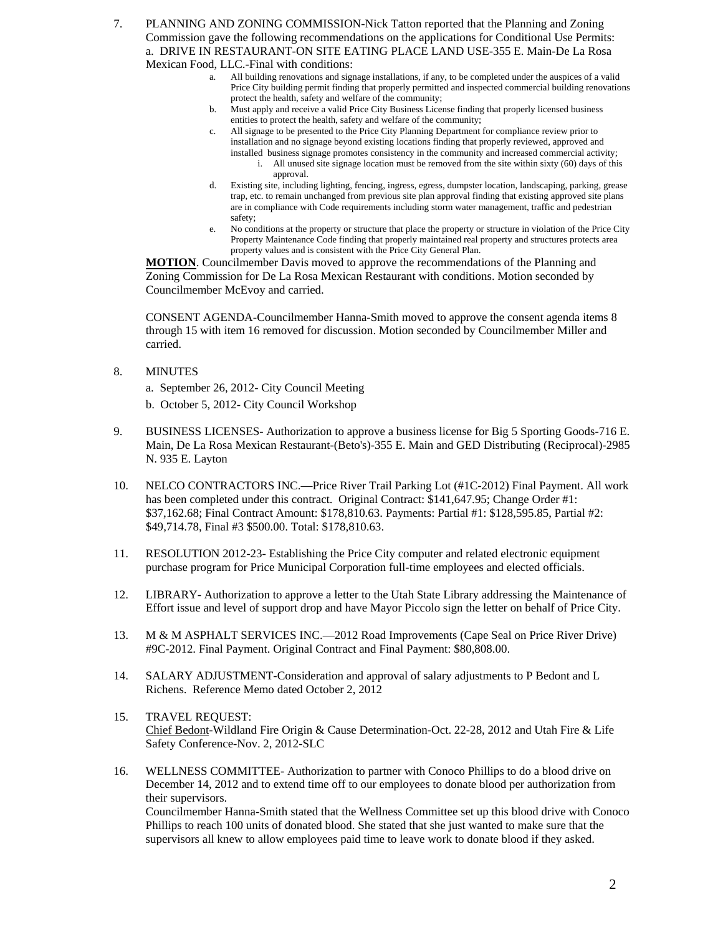- 7. PLANNING AND ZONING COMMISSION-Nick Tatton reported that the Planning and Zoning Commission gave the following recommendations on the applications for Conditional Use Permits: a. DRIVE IN RESTAURANT-ON SITE EATING PLACE LAND USE-355 E. Main-De La Rosa Mexican Food, LLC.-Final with conditions: a. All building renovations and signage installations, if any, to be completed under the auspices of a valid
	- Price City building permit finding that properly permitted and inspected commercial building renovations protect the health, safety and welfare of the community;
	- b. Must apply and receive a valid Price City Business License finding that properly licensed business entities to protect the health, safety and welfare of the community;
	- c. All signage to be presented to the Price City Planning Department for compliance review prior to installation and no signage beyond existing locations finding that properly reviewed, approved and installed business signage promotes consistency in the community and increased commercial activity;
		- i. All unused site signage location must be removed from the site within sixty (60) days of this approval.
	- d. Existing site, including lighting, fencing, ingress, egress, dumpster location, landscaping, parking, grease trap, etc. to remain unchanged from previous site plan approval finding that existing approved site plans are in compliance with Code requirements including storm water management, traffic and pedestrian safety;
	- e. No conditions at the property or structure that place the property or structure in violation of the Price City Property Maintenance Code finding that properly maintained real property and structures protects area property values and is consistent with the Price City General Plan.

**MOTION**. Councilmember Davis moved to approve the recommendations of the Planning and Zoning Commission for De La Rosa Mexican Restaurant with conditions. Motion seconded by Councilmember McEvoy and carried.

 CONSENT AGENDA-Councilmember Hanna-Smith moved to approve the consent agenda items 8 through 15 with item 16 removed for discussion. Motion seconded by Councilmember Miller and carried.

8. MINUTES

a. September 26, 2012- City Council Meeting

- b. October 5, 2012- City Council Workshop
- 9. BUSINESS LICENSES- Authorization to approve a business license for Big 5 Sporting Goods-716 E. Main, De La Rosa Mexican Restaurant-(Beto's)-355 E. Main and GED Distributing (Reciprocal)-2985 N. 935 E. Layton
- 10. NELCO CONTRACTORS INC.—Price River Trail Parking Lot (#1C-2012) Final Payment. All work has been completed under this contract. Original Contract: \$141,647.95; Change Order #1: \$37,162.68; Final Contract Amount: \$178,810.63. Payments: Partial #1: \$128,595.85, Partial #2: \$49,714.78, Final #3 \$500.00. Total: \$178,810.63.
- 11. RESOLUTION 2012-23- Establishing the Price City computer and related electronic equipment purchase program for Price Municipal Corporation full-time employees and elected officials.
- 12. LIBRARY- Authorization to approve a letter to the Utah State Library addressing the Maintenance of Effort issue and level of support drop and have Mayor Piccolo sign the letter on behalf of Price City.
- 13. M & M ASPHALT SERVICES INC.—2012 Road Improvements (Cape Seal on Price River Drive) #9C-2012. Final Payment. Original Contract and Final Payment: \$80,808.00.
- 14. SALARY ADJUSTMENT-Consideration and approval of salary adjustments to P Bedont and L Richens. Reference Memo dated October 2, 2012
- 15. TRAVEL REQUEST: Chief Bedont-Wildland Fire Origin & Cause Determination-Oct. 22-28, 2012 and Utah Fire & Life Safety Conference-Nov. 2, 2012-SLC
- 16. WELLNESS COMMITTEE- Authorization to partner with Conoco Phillips to do a blood drive on December 14, 2012 and to extend time off to our employees to donate blood per authorization from their supervisors. Councilmember Hanna-Smith stated that the Wellness Committee set up this blood drive with Conoco Phillips to reach 100 units of donated blood. She stated that she just wanted to make sure that the supervisors all knew to allow employees paid time to leave work to donate blood if they asked.